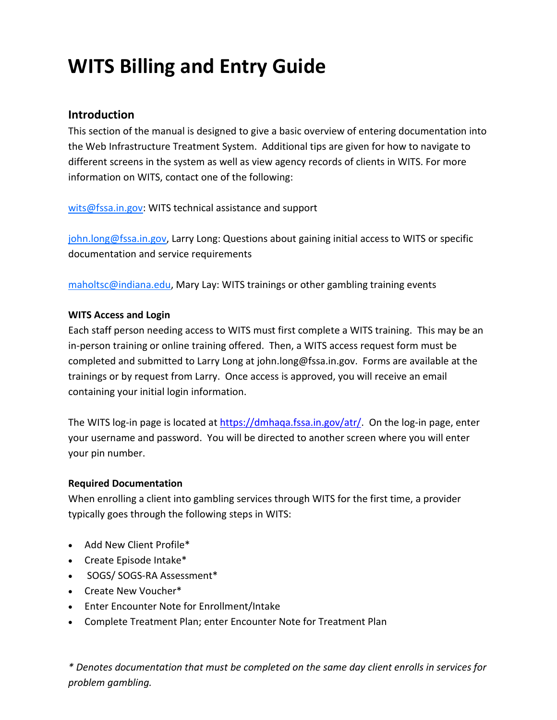# **WITS Billing and Entry Guide**

### **Introduction**

This section of the manual is designed to give a basic overview of entering documentation into the Web Infrastructure Treatment System. Additional tips are given for how to navigate to different screens in the system as well as view agency records of clients in WITS. For more information on WITS, contact one of the following:

wits@fssa.in.gov: WITS technical assistance and support

john.long@fssa.in.gov, Larry Long: Questions about gaining initial access to WITS or specific documentation and service requirements

maholtsc@indiana.edu, Mary Lay: WITS trainings or other gambling training events

### **WITS Access and Login**

Each staff person needing access to WITS must first complete a WITS training. This may be an in-person training or online training offered. Then, a WITS access request form must be completed and submitted to Larry Long at john.long@fssa.in.gov. Forms are available at the trainings or by request from Larry. Once access is approved, you will receive an email containing your initial login information.

The WITS log-in page is located a[t https://dmhaqa.fssa.in.gov/atr/.](https://dmhaqa.fssa.in.gov/atr/) On the log-in page, enter your username and password. You will be directed to another screen where you will enter your pin number.

#### **Required Documentation**

When enrolling a client into gambling services through WITS for the first time, a provider typically goes through the following steps in WITS:

- Add New Client Profile\*
- Create Episode Intake\*
- SOGS/ SOGS-RA Assessment\*
- Create New Voucher\*
- Enter Encounter Note for Enrollment/Intake
- Complete Treatment Plan; enter Encounter Note for Treatment Plan

*\* Denotes documentation that must be completed on the same day client enrolls in services for problem gambling.*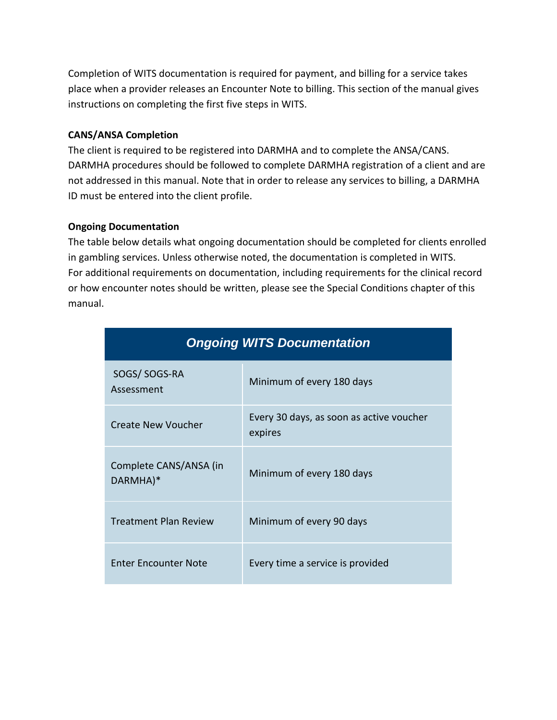Completion of WITS documentation is required for payment, and billing for a service takes place when a provider releases an Encounter Note to billing. This section of the manual gives instructions on completing the first five steps in WITS.

#### **CANS/ANSA Completion**

The client is required to be registered into DARMHA and to complete the ANSA/CANS. DARMHA procedures should be followed to complete DARMHA registration of a client and are not addressed in this manual. Note that in order to release any services to billing, a DARMHA ID must be entered into the client profile.

#### **Ongoing Documentation**

The table below details what ongoing documentation should be completed for clients enrolled in gambling services. Unless otherwise noted, the documentation is completed in WITS. For additional requirements on documentation, including requirements for the clinical record or how encounter notes should be written, please see the Special Conditions chapter of this manual.

| <b>Ongoing WITS Documentation</b>  |                                                     |  |  |  |  |
|------------------------------------|-----------------------------------------------------|--|--|--|--|
| SOGS/SOGS-RA<br>Assessment         | Minimum of every 180 days                           |  |  |  |  |
| <b>Create New Voucher</b>          | Every 30 days, as soon as active voucher<br>expires |  |  |  |  |
| Complete CANS/ANSA (in<br>DARMHA)* | Minimum of every 180 days                           |  |  |  |  |
| <b>Treatment Plan Review</b>       | Minimum of every 90 days                            |  |  |  |  |
| <b>Enter Encounter Note</b>        | Every time a service is provided                    |  |  |  |  |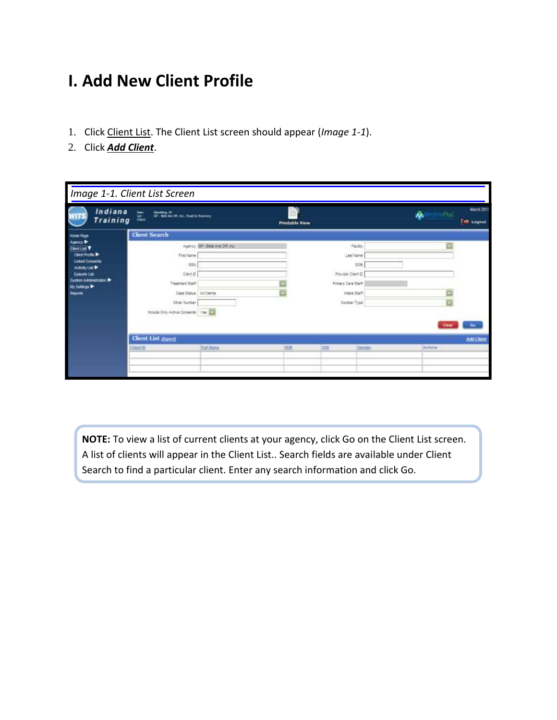# **I. Add New Client Profile**

- 1. Click Client List. The Client List screen should appear (*Image 1-1*).
- 2. Click *Add Client*.

|                                                                                                                                                                                 | Image 1-1. Client List Screen                                                                                                                               |                              |                       |        |                                                                                                        |             |                                 |
|---------------------------------------------------------------------------------------------------------------------------------------------------------------------------------|-------------------------------------------------------------------------------------------------------------------------------------------------------------|------------------------------|-----------------------|--------|--------------------------------------------------------------------------------------------------------|-------------|---------------------------------|
| Indiana<br>Training                                                                                                                                                             | 圜<br>Carolina III<br>- The Art Art (M. Inc. Foot in Assembly                                                                                                |                              | <b>Prentable View</b> |        |                                                                                                        | iPus"<br>办  | <b>March 2017</b><br>Tim Logout |
| <b>Have Face</b>                                                                                                                                                                | <b>Client Search</b>                                                                                                                                        |                              |                       |        |                                                                                                        |             |                                 |
| Agency B<br><b>Clevel List V</b><br><b>Clest Profits &amp;</b><br><b>Linked Conserts</b><br>Activity List &<br>Episode List<br>System Administration<br>by Selings &<br>Registe | <b>First Name</b><br><b>55U</b><br>Clercity<br><b>Treatment Staff</b><br>Cape Status ALCHerts<br><b>Other Number</b><br>troude Only Active Consents 784 272 | Agency BR-Bets Are Off, Inc. | a                     |        | Facility<br>Link! Saine<br>bbs<br>Previer Clerc D<br>Primary Care Staff<br>Irisie Sistf<br>Namber Type | M<br>ö<br>ø |                                 |
|                                                                                                                                                                                 | <b>Client List (Sport)</b>                                                                                                                                  |                              |                       |        |                                                                                                        |             | <b>Add Client</b>               |
|                                                                                                                                                                                 | <b>ClassEID</b>                                                                                                                                             | TMLBame                      | <b>DOS</b>            | 18.888 | <b>Gemdet</b>                                                                                          | Acttoria    |                                 |

**NOTE:** To view a list of current clients at your agency, click Go on the Client List screen. A list of clients will appear in the Client List.. Search fields are available under Client Search to find a particular client. Enter any search information and click Go.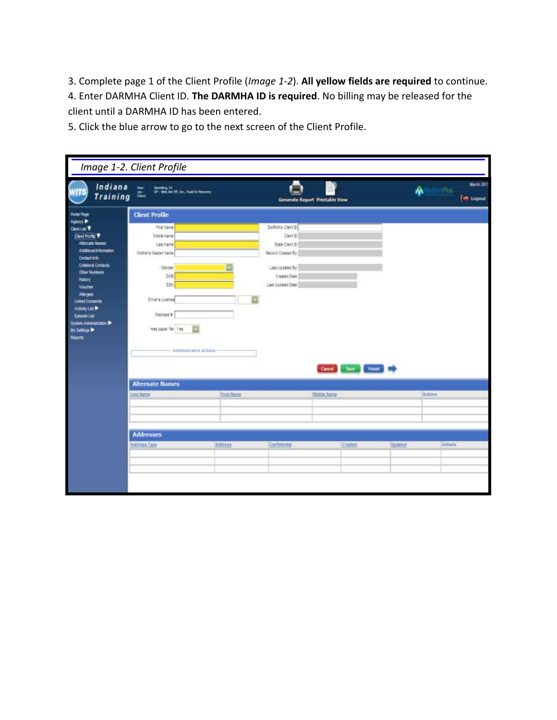3. Complete page 1 of the Client Profile (*Image 1-2*). **All yellow fields are required** to continue. 4. Enter DARMHA Client ID. **The DARMHA ID is required**. No billing may be released for the client until a DARMHA ID has been entered.

5. Click the blue arrow to go to the next screen of the Client Profile.

| Indiana<br>Training                                                                                                                                                                                                                                                                                                                             | Image 1-2. Client Profile<br>Gerding, CL<br>GP - Bets Are CPL (m., food to former)                                                                                                                              |                   | Generate Report Printable View                                                                                            |             |                               |         | ŵ<br>ePus"    | March 2013<br>et topsut |
|-------------------------------------------------------------------------------------------------------------------------------------------------------------------------------------------------------------------------------------------------------------------------------------------------------------------------------------------------|-----------------------------------------------------------------------------------------------------------------------------------------------------------------------------------------------------------------|-------------------|---------------------------------------------------------------------------------------------------------------------------|-------------|-------------------------------|---------|---------------|-------------------------|
| Home Page<br>Agency P<br>Cleman V<br>Dent Profile V<br>Atlemate Names<br>Additional Information<br>Contact into<br><b>Criticianal Dontactic</b><br><b>Other Numbers</b><br>History<br>Voucher<br>Alerges<br><b>Linked Conserts</b><br>Activity List Dr.<br><b>Episcote List</b><br>System Administration<br><b>Hy Settings &amp;</b><br>Reports | <b>Client Profile</b><br><b>TracTiare</b><br><b>Underland</b><br>Last Name<br>Utother's Malden Name<br>Gesder<br>DOB<br>钢<br>Driver's License<br>Meticals #<br>谾<br>mas paper file Vea<br>Americatorive Actions |                   | DARIINA Cleri D<br>Cleri D<br>State Client D<br>Record Created By<br>Last Updated By<br>Crawled Date<br>Last Updated Date |             | Cincel Clinton, Financial Re- |         |               |                         |
|                                                                                                                                                                                                                                                                                                                                                 | <b>Alternate Names</b><br>Lest Rime                                                                                                                                                                             | <b>Pirat Name</b> |                                                                                                                           | Middle Name |                               |         | <b>Actors</b> |                         |
|                                                                                                                                                                                                                                                                                                                                                 | <b>Addresses</b><br>Address Type:                                                                                                                                                                               | Artificial        | Confidential                                                                                                              |             | Created                       | Updated | Actives       |                         |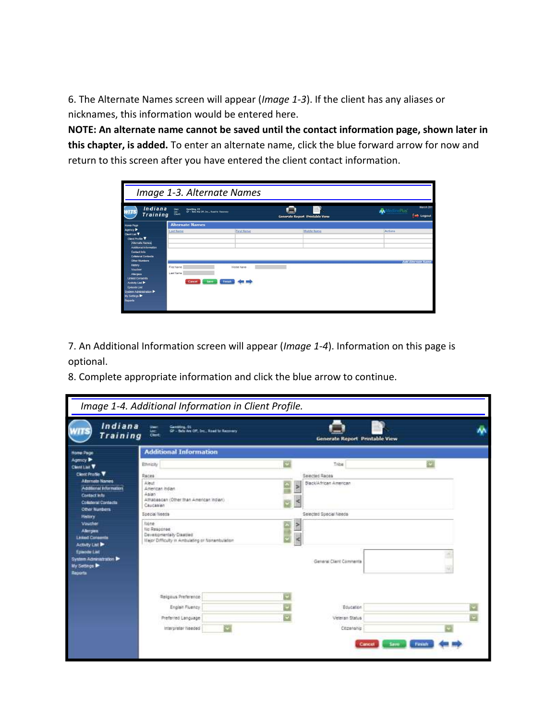6. The Alternate Names screen will appear (*Image 1-3*). If the client has any aliases or nicknames, this information would be entered here.

**NOTE: An alternate name cannot be saved until the contact information page, shown later in this chapter, is added.** To enter an alternate name, click the blue forward arrow for now and return to this screen after you have entered the client contact information.

|                                                                                                                                                                                  |                                                                            | Image 1-3. Alternate Names |                                       |                                          |
|----------------------------------------------------------------------------------------------------------------------------------------------------------------------------------|----------------------------------------------------------------------------|----------------------------|---------------------------------------|------------------------------------------|
| Indiana<br>Training dec                                                                                                                                                          | Gard-<br>Gambling, CC<br>GP - Bets Ave CIT, Drc., Road to Recovery<br>sec- |                            | <b>Generate Report Printable View</b> | March 201<br>۸À<br>nePusi i<br>et Logout |
| <b>Home Page</b>                                                                                                                                                                 | <b>Alternate Names</b>                                                     |                            |                                       |                                          |
| Agency D<br>Clent List V<br>Clear Profile V<br>Abenute Names<br>Additional Information<br>Contact info<br><b>Collateral Contacts</b>                                             | <b>Last Ilame</b>                                                          | <b>First Name</b>          | Middle <b>Karne</b>                   | Actions                                  |
| <b>Citier Numbers</b><br>Eistery<br>Voucher<br>Alexies<br><b>Linked Consents</b><br>Activity List ><br>Episode List<br>System Administration<br><b>Wy Settings Dr</b><br>Reports | First Name<br><b>Last Name</b><br>Cancel  <br>Save                         | <b>Mode Name</b><br>Finish |                                       | Add Alternate Name                       |

7. An Additional Information screen will appear (*Image 1-4*). Information on this page is optional.

8. Complete appropriate information and click the blue arrow to continue.

| Indiana<br>Training                                                                            | <b>User:</b><br>Ganging, U.<br>GP - Bela Are Off, Inc.; Road to Recovery<br>tae:<br>Clerk,                       |   |           | Generate Report Printable View |   |
|------------------------------------------------------------------------------------------------|------------------------------------------------------------------------------------------------------------------|---|-----------|--------------------------------|---|
| <b>Home Page</b>                                                                               | <b>Additional Information</b>                                                                                    |   |           |                                |   |
| Agency ><br>Clent List V                                                                       | Ethnicity                                                                                                        |   |           | Tribe                          | ප |
| <b>Client Profile V</b>                                                                        | Races                                                                                                            |   |           | Selected Races                 |   |
| <b>Alternate Names</b><br>Additional Information<br><b>Contact Inte</b><br>Coluteral Cavitacta | Abest<br>American Indian<br>Asian<br>Athabascan (Other than American Indian)<br>Caucasian                        |   |           | Black/African American         |   |
| <b>Other Numbers</b><br><b>History</b>                                                         | Special lineos                                                                                                   |   |           | Selected Special Needs         |   |
| Voucher<br><b>Abrigan</b><br><b>Listed Consents</b><br>Activity List D                         | fligher<br>file Residense<br>Developmentally Disabled<br><b>Hajor Difficulty in Ambulating or Nonardsulation</b> |   |           |                                |   |
| <b>Episode List</b><br>System Administration<br>My Settings<br>Reports                         |                                                                                                                  |   |           | General Client Commertia       |   |
|                                                                                                | Religious Preference                                                                                             |   | ø         |                                |   |
|                                                                                                | Englait Fluency                                                                                                  |   | a         | Education                      |   |
|                                                                                                | Preferred Language                                                                                               |   | $\bullet$ | Veteran Status                 |   |
|                                                                                                | Interpreter Needed                                                                                               | G |           | Citizenship                    |   |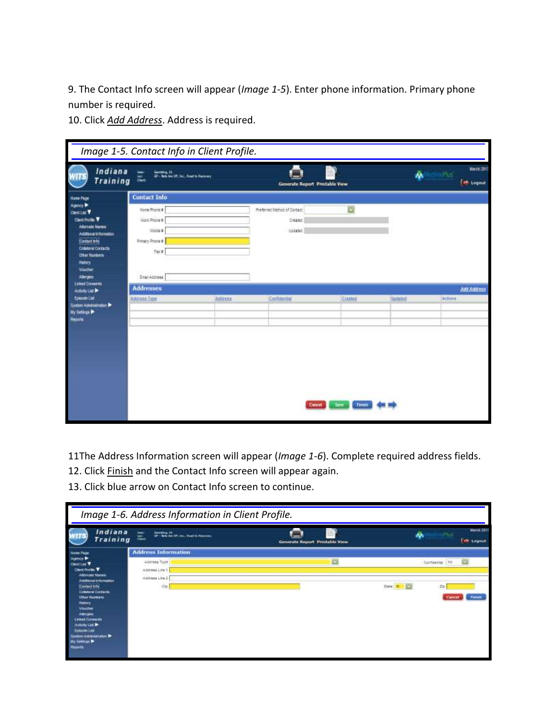9. The Contact Info screen will appear (*Image 1-5*). Enter phone information. Primary phone number is required.

10. Click *Add Address*. Address is required.

|                                                                                                                                                                                                                                   | Image 1-5. Contact Info in Client Profile.                                             |         |                                                   |            |                 |                                              |
|-----------------------------------------------------------------------------------------------------------------------------------------------------------------------------------------------------------------------------------|----------------------------------------------------------------------------------------|---------|---------------------------------------------------|------------|-----------------|----------------------------------------------|
| Indiana<br><b>Training</b>                                                                                                                                                                                                        | Gerston, Et.<br>GP - Bels for OY, Inc., Ford to Fassency.<br><b>Sec</b><br>蠃           |         | Generate Report Printable View                    |            | ŵ               | <b>March 2013</b><br>cPia<br><b>M</b> Logout |
| <b>Hane Page</b>                                                                                                                                                                                                                  | <b>Contact Info</b>                                                                    |         |                                                   |            |                 |                                              |
| Agency &<br>ClentList <sup>Y</sup><br><b>Client Profile V</b><br><b>Allerman Nursex</b><br>Additional Information<br>Courset in for<br><b>Collatoral Contacts</b><br><b>Other Numbers</b><br><b>History</b><br>Voucher<br>Aleigns | Hone Phone #<br>Viant Prione #<br>lights #<br>Primary Phone #<br>Fg(x)<br>Enal Actress |         | Preferred Method of Contact<br>Created<br>Uptaten | a          |                 |                                              |
| <b>Linked Conserts</b><br>Activity List                                                                                                                                                                                           | <b>Addresses</b>                                                                       |         |                                                   |            |                 | <b>Any Admess</b>                            |
| <b>Episode List</b><br>System Administration<br>By Sellings<br>Reports                                                                                                                                                            | Address Type                                                                           | Address | Confidential                                      | Created    | <b>Ilbdated</b> | Activna                                      |
|                                                                                                                                                                                                                                   |                                                                                        |         | Cancel                                            | Save Times |                 |                                              |

11The Address Information screen will appear (*Image 1-6*). Complete required address fields.

- 12. Click Finish and the Contact Info screen will appear again.
- 13. Click blue arrow on Contact Info screen to continue.

|                                                                                                                                                                                                                                                                                                                                                                                                              | Image 1-6. Address Information in Client Profile.                                                                                                                                                                                                  |                                |                                                                       |                                 |
|--------------------------------------------------------------------------------------------------------------------------------------------------------------------------------------------------------------------------------------------------------------------------------------------------------------------------------------------------------------------------------------------------------------|----------------------------------------------------------------------------------------------------------------------------------------------------------------------------------------------------------------------------------------------------|--------------------------------|-----------------------------------------------------------------------|---------------------------------|
| Indiana<br>Training                                                                                                                                                                                                                                                                                                                                                                                          | Geneting 19<br>盅<br>(p) - hele has (iff, for , fload to flammers                                                                                                                                                                                   | Generate Report Printable View | district.                                                             | March 2013<br><b>MR. Logout</b> |
| <b>Hame Page</b><br>Agenc⊌ <sup>1</sup><br>$Cov1 = T$<br>Cleve Pro Bo. T<br><b>Alternate Names</b><br>Additional information<br><b>Centract In far</b><br><b>Columns Dortacts</b><br><b>Citier Numbers</b><br><b>flatory</b><br><b><i><u>Visacher</u></i></b><br>Admission<br><b>Linked Conserver</b><br>Activity List &<br><b>Episode List</b><br>Tembors Automobile police Br<br>Wy Sieblege Dr<br>kesaria | <b>Address Information</b><br>Address Type<br>Address Life 1<br>Address Live 2<br><w< th=""><th><math>\overline{\mathbf{z}}</math></th><th>Canfidential Ital<br/>Suite <b>ALL SA</b><br/>Ze<sup>1</sup><br/>Cancel</th><th><b>Tiresh</b></th></w<> | $\overline{\mathbf{z}}$        | Canfidential Ital<br>Suite <b>ALL SA</b><br>Ze <sup>1</sup><br>Cancel | <b>Tiresh</b>                   |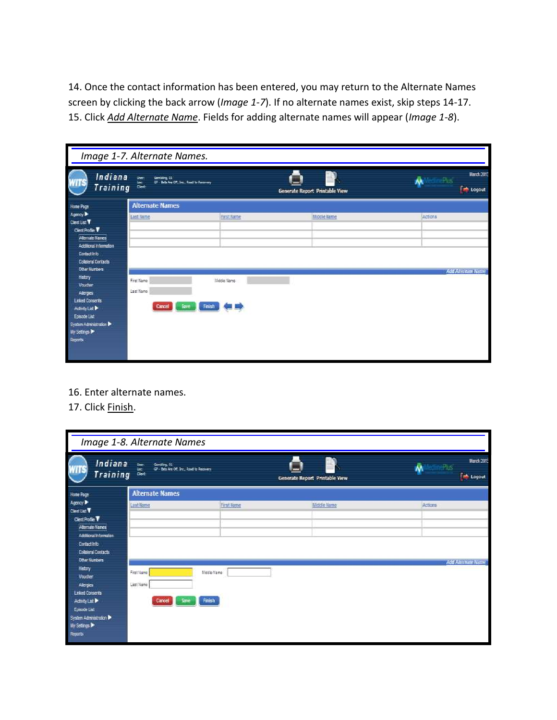14. Once the contact information has been entered, you may return to the Alternate Names screen by clicking the back arrow (*Image 1-7*). If no alternate names exist, skip steps 14-17. 15. Click *Add Alternate Name*. Fields for adding alternate names will appear (*Image 1-8*).

|                                                                                                                                                                   | Image 1-7. Alternate Names.                                                           |                       |                                |                                                             |
|-------------------------------------------------------------------------------------------------------------------------------------------------------------------|---------------------------------------------------------------------------------------|-----------------------|--------------------------------|-------------------------------------------------------------|
| Indiana<br>Training <b>come</b>                                                                                                                                   | Gemälling, Et.<br>Ster:<br>GP - Bela Are Off, Sec., Road to Recovery<br>$\frac{1}{2}$ |                       | Generate Report Printable View | <b>March 2013</b><br><b>Material</b><br><b>Extra</b> Logout |
| Home Page                                                                                                                                                         | <b>Alternate Names</b>                                                                |                       |                                |                                                             |
| Agency D<br>Clent List V<br>Clerk Profile<br>Alternate Names<br>Additional information<br>Contact Info<br><b>Colleteral Contacts</b>                              | Last Ilame                                                                            | <b>First Name</b>     | Middle Name                    | Actions                                                     |
| <b>Other Numbers</b><br>Estay<br>Voucher<br>Alertes<br><b>Linked Consents</b><br>Activity List<br>Episode List<br>System Administration<br>Wy Settings<br>Reports | First Name<br>Last Name<br>Cancel Save                                                | Middle Name<br>Finish |                                | Add Alternate Name                                          |

16. Enter alternate names.

### 17. Click Finish.

|                                                                                                                                                                        | Image 1-8. Alternate Names                                          |                      |                                |                                                 |
|------------------------------------------------------------------------------------------------------------------------------------------------------------------------|---------------------------------------------------------------------|----------------------|--------------------------------|-------------------------------------------------|
| Indiana<br>Training &                                                                                                                                                  | iner.<br>Geration, 65<br>GP - Bela Are Off, Inc., Road to Recovery. |                      | Generate Report Printable View | March 2013<br>cine lus'<br>办<br><b>E</b> Logout |
| Home Page                                                                                                                                                              | <b>Alternate Names</b>                                              |                      |                                |                                                 |
| Agency<br>Clentius: V<br>Clert Profile V<br>Atlemate Names<br>Additional information<br>Contact info<br><b>Collateral Contacts</b>                                     | Last Name                                                           | First Name           | Middle Name                    | Actions                                         |
| <b>Other Numbers</b><br>Estay<br>Voucher<br>Alertes<br><b>Linked Consents</b><br>Activity Us:<br>Episode Ust<br>System Administration<br><b>Wy Settings</b><br>Reports | First Name<br>Last Name<br>Cancel  <br>Save                         | liste Name<br>Finish |                                | Add Alternate Name                              |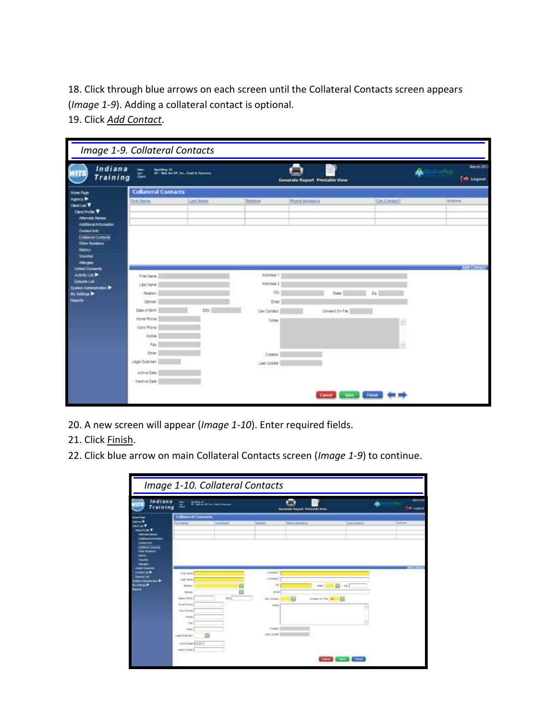18. Click through blue arrows on each screen until the Collateral Contacts screen appears (*Image 1-9*). Adding a collateral contact is optional.

19. Click *Add Contact*.

| Indiana<br><b>Training</b>                                                                                                                                                                              | $\frac{1}{2}$<br>$\frac{1}{2}$                                                                                                                                                 | Caroling 12<br>CP - Schlee (PC by , hast to fascens) |                                                                                                | Generate Report Printable View | ŵ                                           | <b>Barch 2011</b><br><sup>et</sup> Logout |
|---------------------------------------------------------------------------------------------------------------------------------------------------------------------------------------------------------|--------------------------------------------------------------------------------------------------------------------------------------------------------------------------------|------------------------------------------------------|------------------------------------------------------------------------------------------------|--------------------------------|---------------------------------------------|-------------------------------------------|
| <b>Hume Page</b>                                                                                                                                                                                        | <b>Collateral Contacts</b>                                                                                                                                                     |                                                      |                                                                                                |                                |                                             |                                           |
| Agency P<br><b>Clential V</b><br><b>Clest Profile T</b><br><b>Adernate Names</b><br>Additional Information<br><b>Contact In lo</b><br><b>Columni Contacts</b><br><b>Other Numbers</b><br><b>History</b> | <b>First Nime</b>                                                                                                                                                              | Lest Barne                                           | Relations                                                                                      | <b>Phone Bunders</b>           | Can Contest!                                | Actions                                   |
| Voorher<br>Allergies<br><b>Linked Conserts</b>                                                                                                                                                          |                                                                                                                                                                                |                                                      |                                                                                                |                                |                                             | <b>Any Connect</b>                        |
| Activity List P<br>Economic List<br>System Administration D<br>My Selage P<br><b>Reports</b>                                                                                                            | Protitions.<br>Last Vene<br>Reader<br>Genzer<br>Date of Birth<br>Home Phone<br>Viers Phone:<br><b>Matile</b><br>Fax<br>Other:<br>Legal Guardian<br>Active Date<br>Inschie Date | say i                                                | Access 1<br>Address 2<br>Cxy<br>Erial<br>Car Contam<br><b>lizies</b><br>Created<br>Last Update | State<br>Consent On File.      | Ze  <br>ā.<br>a.<br>Carol Chevy Frank on my |                                           |

- 20. A new screen will appear (*Image 1-10*). Enter required fields.
- 21. Click Finish.
- 22. Click blue arrow on main Collateral Contacts screen (*Image 1-9*) to continue.

| Indiana<br>Ε<br>Training                                                                                                                             | <b>The Commission</b>                                    |                                                              | <b>Government Massert, Printfallike Viener</b> | <b>WELLY</b><br>ŵ<br>Two segment |
|------------------------------------------------------------------------------------------------------------------------------------------------------|----------------------------------------------------------|--------------------------------------------------------------|------------------------------------------------|----------------------------------|
| <b>Post-Bene</b><br>---<br>mie (josanki                                                                                                              | <b>Coluteral Contacts</b><br><b>Lass Home</b><br>2555122 | <b>Wilder</b>                                                | <b>Plant Aumora</b>                            | <b>Car Grebal II</b><br>Michigan |
| <b>Mar Kaldara</b><br><b>AMARYLINE</b><br>FIRETIMES.<br><b>SUMMAR LIME</b><br>Lab'lare<br>,,,,,,,,,, <b>,,</b><br><b>Committee</b><br><b>PENGIST</b> |                                                          | Actress 1<br>Actional 2<br>344                               | a<br>28<br><b>TURN</b>                         |                                  |
| Calvier<br>Servitor:<br><b>North Director</b><br>Very Phone<br>Metal<br>140                                                                          | <b>kd</b> x                                              | <b>Brigan</b><br>E<br><b>Circle Contract</b><br><b>Summa</b> | - 13<br>Seweri di me 1981                      |                                  |
| <b>Inter</b>                                                                                                                                         | Least Granten                                            | 3 metal<br>Lastisland                                        |                                                |                                  |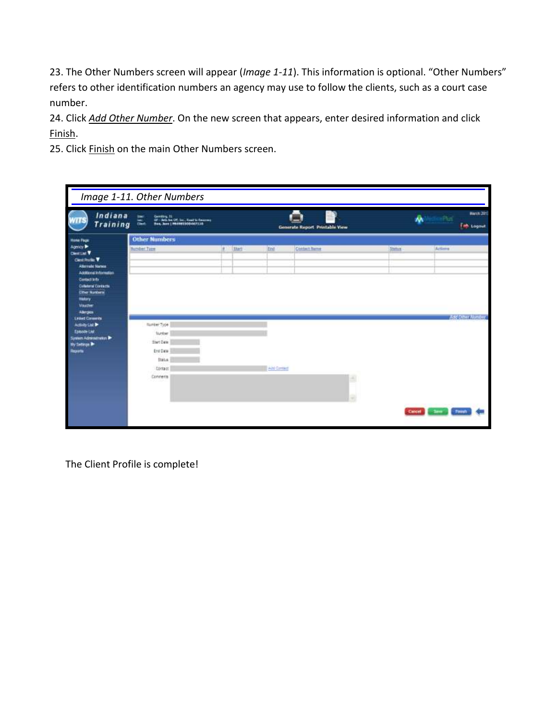23. The Other Numbers screen will appear (*Image 1-11*). This information is optional. "Other Numbers" refers to other identification numbers an agency may use to follow the clients, such as a court case number.

24. Click *Add Other Number*. On the new screen that appears, enter desired information and click Finish.

25. Click Finish on the main Other Numbers screen.

|                                                                                                                                                                                                                                   | Image 1-11. Other Numbers                                                                              |              |                      |                                |                                               |
|-----------------------------------------------------------------------------------------------------------------------------------------------------------------------------------------------------------------------------------|--------------------------------------------------------------------------------------------------------|--------------|----------------------|--------------------------------|-----------------------------------------------|
| Indiana<br><b>Training</b>                                                                                                                                                                                                        | <b>UNIT</b><br>Genting 11<br>GF - Bris he Off Sec. Read to Resource<br>Ban, Jane ( MADRESCOARTLIN<br>嵩 |              |                      | Generate Report Printable View | <b>Harch 2011</b><br>۸À<br><b>Time Logout</b> |
| <b>Home Page</b><br>Agency<br><b>Clenting V</b><br>Cleat Pro Str.<br><b>Alternate Names</b><br>Additional information<br>Contact into<br><b>Cultural Contacts</b><br><b>Other Nanturn</b><br>matery<br><b>Voucher</b><br>Allegios | <b>Other Numbers</b><br><b>Number Type</b>                                                             | <b>Start</b> | trid                 | Contect Serre                  | Actional<br><b>Status</b>                     |
| <b>Lisbed Converts</b><br>Activity List &<br><b>Esiscoe List</b><br>Symm Administration<br>by Setings D<br>liquide                                                                                                                | Number Type<br>Number<br>Start Date<br>End Date:<br><b>Bratist</b><br>Contact<br>Connerts              |              | <b>Paint Contact</b> | ۸<br>a                         | And Other Mattder<br>Cancel 1<br>See Time     |

The Client Profile is complete!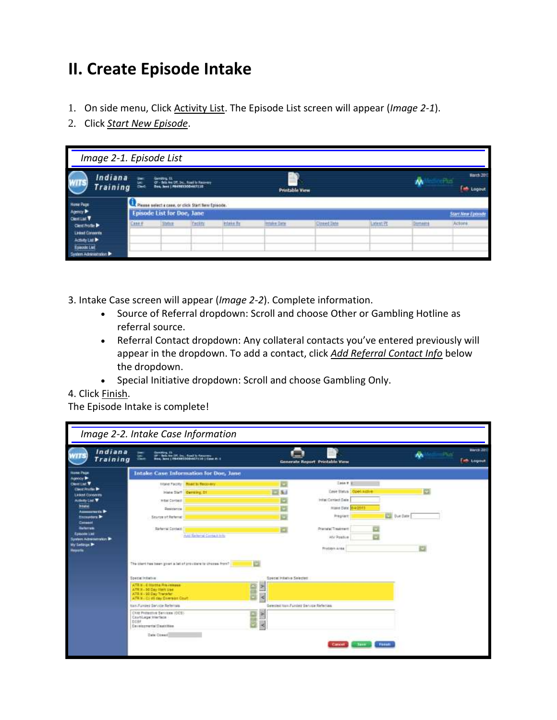# **II. Create Episode Intake**

- 1. On side menu, Click Activity List. The Episode List screen will appear (*Image 2-1*).
- 2. Click *Start New Episode*.

| Image 2-1. Episode List                                                                        |        |                            |                                                                       |            |                       |             |                      |               |                                      |
|------------------------------------------------------------------------------------------------|--------|----------------------------|-----------------------------------------------------------------------|------------|-----------------------|-------------|----------------------|---------------|--------------------------------------|
| Indiana<br><b>Training</b>                                                                     | 箧      | Gentling, EL               | OF - Box Ave OT, Inc., Road to Recovery<br>Rev, Jane   PRATROODAGTELR |            | <b>Printable View</b> |             |                      | ۸٨            | <b>March 2017</b><br><b>H</b> Logout |
| <b>Humai Page</b><br><b>Agency</b><br><b>Central T</b>                                         |        | Episode List for Doe, Jane | Please select a case, or click Start flew Episode.                    |            |                       |             |                      |               | <b>Start New Epimode</b>             |
| Cleat Frotte<br><b>Linked Conservis</b><br>āctutv List ▶<br>nda i lai<br>System Administration | Cane # | <b>Shring</b>              | facility                                                              | Intake fly | Israke Date           | Cinned Bate | Latent <sub>PL</sub> | <b>Jomans</b> | Actions                              |

3. Intake Case screen will appear (*Image 2-2*). Complete information.

- Source of Referral dropdown: Scroll and choose Other or Gambling Hotline as referral source.
- Referral Contact dropdown: Any collateral contacts you've entered previously will appear in the dropdown. To add a contact, click *Add Referral Contact Info* below the dropdown.
- Special Initiative dropdown: Scroll and choose Gambling Only.
- 4. Click Finish.

The Episode Intake is complete!

| Indiana<br>Training                                | Gent                                                                                                                     | Combing 11<br>OF - Balk for Off, Sox - Road to Kenneth<br>Dany, Jame   Frankrich (1941-1910   Case dr. ) |                                     | Generate Report Printable View |                     |   | <b>March 2813</b><br><b>Elle Logout</b> |
|----------------------------------------------------|--------------------------------------------------------------------------------------------------------------------------|----------------------------------------------------------------------------------------------------------|-------------------------------------|--------------------------------|---------------------|---|-----------------------------------------|
| <b>Hame Page</b><br>Agency P                       | <b>Intake Case Information for Doe, Jane</b>                                                                             |                                                                                                          |                                     |                                |                     |   |                                         |
| <b>Clevel Line W</b>                               |                                                                                                                          | Visité Facility   Nont to Recovery                                                                       | o                                   | $2466$ F. $\overline{3}$       |                     |   |                                         |
| <b>Clear Profit Dr</b><br><b>Linkert Conserver</b> |                                                                                                                          | Intake Staff Garding, 21                                                                                 | 口店                                  | Oase Status   Open Azilia      |                     |   |                                         |
| Activity List T                                    | <b>WEALCOYBACE</b>                                                                                                       |                                                                                                          |                                     | InterCented Date               |                     |   |                                         |
| <b>Intellet</b><br>Assessments &                   | Residence                                                                                                                |                                                                                                          | ы                                   | Hand Date: 040013              |                     |   |                                         |
| Excounters &<br>Consent                            | Searce of Referral                                                                                                       |                                                                                                          |                                     | Pregnant                       | <b>ESE</b> Tue Date |   |                                         |
| <b><i><u>Ballerrate</u></i></b>                    | Richaryal Contain                                                                                                        |                                                                                                          |                                     | Pramata (Treatment)            |                     |   |                                         |
| Episonin Link<br>System Administration             |                                                                                                                          | Auto Returned Contact Info                                                                               |                                     | HIV Postive                    |                     |   |                                         |
| Wy Satissipa Dr.<br><b>Heaville</b>                |                                                                                                                          |                                                                                                          |                                     | Protiers Anka                  |                     | e |                                         |
|                                                    | The client has been given a let of providers to choose front-                                                            |                                                                                                          |                                     |                                |                     |   |                                         |
|                                                    | Special industries                                                                                                       |                                                                                                          | Special Indiative Selected          |                                |                     |   |                                         |
|                                                    | ATR B - E Martine Pre-release<br>ATR # - 50 Day 1065 Use<br>ATR 5 - 90 Day Transfer.<br>ATH B. Craft day Diversion Court |                                                                                                          | ×<br>×                              |                                |                     |   |                                         |
|                                                    | Itan.Funded Service Referrals                                                                                            |                                                                                                          | Gewond Nam Funded Gervice Referrase |                                |                     |   |                                         |
|                                                    | Client Protestive Services (OCS)<br>Coatsbage Interface<br>DOBF<br>Developmenta/Disabilities                             |                                                                                                          | ×                                   |                                |                     |   |                                         |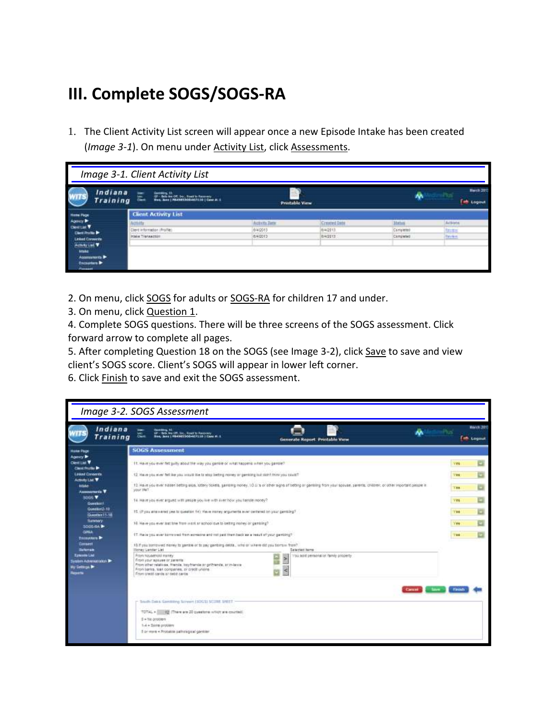# **III. Complete SOGS/SOGS-RA**

1. The Client Activity List screen will appear once a new Episode Intake has been created (*Image 3-1*). On menu under Activity List, click Assessments.

|                                                                                                                                                         | Image 3-1. Client Activity List                                                                               |                       |                            |                        |                                      |
|---------------------------------------------------------------------------------------------------------------------------------------------------------|---------------------------------------------------------------------------------------------------------------|-----------------------|----------------------------|------------------------|--------------------------------------|
| Indiana<br>Training                                                                                                                                     | 盂<br>Genetics, 11<br>Or - Selv for OT Sur - Sund to Summery<br>Steel Jame   PRASSESSODART   LEG   Cano at . L | <b>Prestable View</b> |                            | w                      | <b>Harch 2013</b><br><b>B</b> Logout |
| <b>Home Page</b><br>Agency P                                                                                                                            | <b>Client Activity List</b><br>Activity                                                                       | Activity Date         | <b>Created Date</b>        | 11.14<br>Status        | Actions                              |
| <b>Clevel Last TV</b><br><b>Class Pro No 9</b><br><b>Linked Conserver</b><br>Activity List V<br>state <sup>-</sup><br>Accomments P<br><b>Encounters</b> | Client Information (Prafile)<br>Intake Transaction                                                            | 8/4/2013<br>6/4/2013  | EI4/2013<br><b>BR22113</b> | Cargleted<br>Completed | <b>Madrid</b><br><b>Teylor</b>       |

- 2. On menu, click SOGS for adults or SOGS-RA for children 17 and under.
- 3. On menu, click **Question 1.**

4. Complete SOGS questions. There will be three screens of the SOGS assessment. Click forward arrow to complete all pages.

5. After completing Question 18 on the SOGS (see Image 3-2), click Save to save and view client's SOGS score. Client's SOGS will appear in lower left corner.

6. Click Finish to save and exit the SOGS assessment.

|                                                                        | Image 3-2. SOGS Assessment                                                                                                                                                                                         |                                                                                                                                                                                         |                 |            |
|------------------------------------------------------------------------|--------------------------------------------------------------------------------------------------------------------------------------------------------------------------------------------------------------------|-----------------------------------------------------------------------------------------------------------------------------------------------------------------------------------------|-----------------|------------|
| Indiana<br>Training                                                    | Genetikus, OS<br>UP - Sels Ave UP, Doc, Road to Recovery<br>Sine, Sang   Historic Diddent P1.1.0   Care #: 1<br>温。                                                                                                 | Generate Report. Printable View                                                                                                                                                         | <b>M</b> Logaut | March 2013 |
| <b>Holler Page</b>                                                     | <b>SOGS Assessment</b>                                                                                                                                                                                             |                                                                                                                                                                                         |                 |            |
| Agency P<br><b>CIENTITIE V</b><br><b>Clevel Province Br</b>            | 11. Have you ever fet juilty about the way you gamble or what happens what you gamble?                                                                                                                             |                                                                                                                                                                                         |                 |            |
| <b>Lusar Consents</b><br><b>Activity List TF</b>                       | 12 Have you ever fell like you would like to stop betting resvey or gambing but don't from you could?                                                                                                              |                                                                                                                                                                                         |                 |            |
| <b>kilake-</b>                                                         | your 1967                                                                                                                                                                                                          | 12. Have you ever historizedning also, lottery boxels, gambling money, 10.1/ a or other signs of betting or gambling from your box etc. parents, children, or other important people in | THE             |            |
| Assessments V.<br><b>SOBS V</b>                                        | T4. Have you ever argued with awake you live with aver how you handle money?                                                                                                                                       |                                                                                                                                                                                         | <b>Yes</b>      |            |
| <b>Question!</b><br>Guestion2.10<br>Question 11-18                     | 10. (Myou analysist years question 14) there movey arguments aver certains on your pensing?                                                                                                                        |                                                                                                                                                                                         | <b>Yes</b>      |            |
| <b>Thermonty</b><br>SDOG GA                                            | 16. Have you ever but the from work an school out to betting morey or gambing?                                                                                                                                     |                                                                                                                                                                                         | Vee             |            |
| GIRA<br><b>Excounters</b>                                              | 17. Havie you ever borroned from survicine and not just them back as a result of your gambing?                                                                                                                     |                                                                                                                                                                                         | TE6             |            |
| Consent<br>Raifertale                                                  | 10.9 you surrowed money to gamble or to pay gambing debta, who or where dd you tiornoil from?<br><b>Honey Lender List</b>                                                                                          | Selected hams                                                                                                                                                                           |                 |            |
| Einwood List<br>dien Administrator P<br>y Settinga ⊯<br><b>Reports</b> | From Nausenold earley<br>From your appare or perents<br>Prove other relatives, friends, locy/hierola.or griftsends, or in-lawse<br>From bariss, lean companies, or credit unions<br>From great cards of debt carts | You seld personal of family property.<br>⋗                                                                                                                                              |                 |            |
|                                                                        |                                                                                                                                                                                                                    |                                                                                                                                                                                         |                 |            |
|                                                                        | - Smith Dalks Geneting Screen (SOGS) SCORE SHEET<br>TOTAL + 12 Thare are 20 questions which are counted.<br>5 = 1to proceers<br>1-4 + Serie problem<br>5 or more . Probable pathological gardian                   |                                                                                                                                                                                         |                 |            |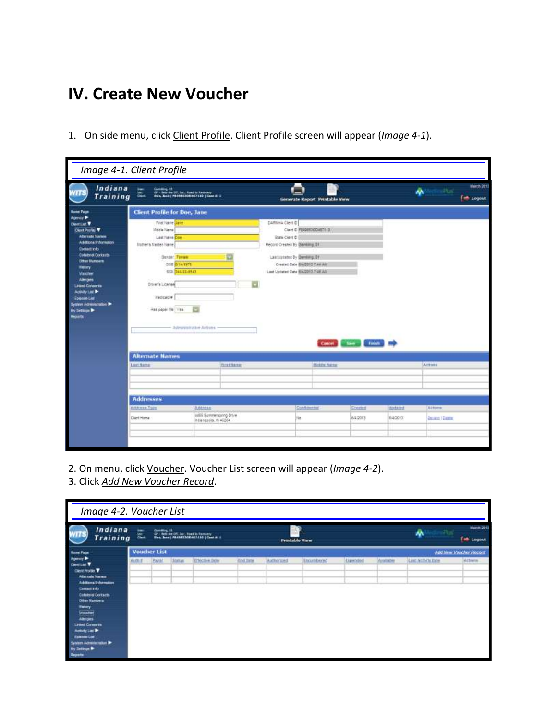# **IV. Create New Voucher**

1. On side menu, click Client Profile. Client Profile screen will appear (*Image 4-1*).

|                                                                                                                                                                                                                                                                                                                                   | Image 4-1. Client Profile                                                                                                                                                                                |                                                                                                     |                                                                                                                                                                                                   |                     |          |                 |                       |                                       |
|-----------------------------------------------------------------------------------------------------------------------------------------------------------------------------------------------------------------------------------------------------------------------------------------------------------------------------------|----------------------------------------------------------------------------------------------------------------------------------------------------------------------------------------------------------|-----------------------------------------------------------------------------------------------------|---------------------------------------------------------------------------------------------------------------------------------------------------------------------------------------------------|---------------------|----------|-----------------|-----------------------|---------------------------------------|
| Indiana<br>Training                                                                                                                                                                                                                                                                                                               | ඛ                                                                                                                                                                                                        | Ganking, 11<br>GF - Satulan Uff, Inc., Road to Reservey<br>Davy, Neal   PRORESSODISTILE   Case Bull | Generate Report Printable View                                                                                                                                                                    |                     |          |                 | 办                     | <b>March 2011</b><br><b>Em Logout</b> |
| <b>Hote Page</b><br>Agency P                                                                                                                                                                                                                                                                                                      | Client Profile for Doe, Jane                                                                                                                                                                             |                                                                                                     |                                                                                                                                                                                                   |                     |          |                 |                       |                                       |
| <b>Centur</b><br>Cleve Profile V<br><b>Atemate Names</b><br>Additional Information<br><b>Contact Info</b><br><b>Colletterof Contacts</b><br><b>Citter Numbers</b><br><b>Hatary</b><br>Voucher<br>Altrights<br><b>Listed Coveres</b><br>Activity List P<br>Episode List<br>System Administration<br><b>Wy Selmon Br</b><br>Reports | <b>First Name Date</b><br>Middle Name<br>1 AM TIAme Doe<br><b>Ucchera Mades Name</b><br><b>Genzer Ferrale</b><br>DOR BYRATETE<br>551 344-46-8543<br>Driver's License<br>Madicald #<br>Has paper file Ves | Ð<br>o<br>Admonistrative Actions                                                                    | DARMA Clert D<br>Clert D. PS490030D457110<br>State Clerit D<br>Record Orested By Garding, St.<br>Last suitable by Questing, RT<br>Created Date @W2013 2:44 AM<br>Last Updated Oate BACO12 7:48 AM | Castel Save Finish  |          |                 |                       |                                       |
|                                                                                                                                                                                                                                                                                                                                   | <b>Alternate Names</b>                                                                                                                                                                                   |                                                                                                     |                                                                                                                                                                                                   |                     |          |                 |                       |                                       |
|                                                                                                                                                                                                                                                                                                                                   | <b>Last Name</b>                                                                                                                                                                                         | <b>FULLTAIN</b>                                                                                     |                                                                                                                                                                                                   | <b>Middle Rains</b> |          |                 | Actività              |                                       |
|                                                                                                                                                                                                                                                                                                                                   | <b>Addresses</b>                                                                                                                                                                                         |                                                                                                     |                                                                                                                                                                                                   |                     |          |                 |                       |                                       |
|                                                                                                                                                                                                                                                                                                                                   | Address Type                                                                                                                                                                                             | Address                                                                                             | Continential                                                                                                                                                                                      |                     | Created  | <b>Marketed</b> | Actions               |                                       |
|                                                                                                                                                                                                                                                                                                                                   | Clarit Home                                                                                                                                                                                              | 44EE Summerscring Drive<br>Indianapolis, fil 46204                                                  | Na                                                                                                                                                                                                |                     | 8/4/2013 | 8/4/2013        | <b>Barmara Fasses</b> |                                       |
|                                                                                                                                                                                                                                                                                                                                   |                                                                                                                                                                                                          |                                                                                                     |                                                                                                                                                                                                   |                     |          |                 |                       |                                       |

- 2. On menu, click Voucher. Voucher List screen will appear (*Image 4-2*).
- 3. Click *Add New Voucher Record*.

| Image 4-2. Voucher List                                                                                                                                                                                                                                                                                                                            |       |                     |                |                                                                                                 |                 |            |                       |          |           |                  |                                         |
|----------------------------------------------------------------------------------------------------------------------------------------------------------------------------------------------------------------------------------------------------------------------------------------------------------------------------------------------------|-------|---------------------|----------------|-------------------------------------------------------------------------------------------------|-----------------|------------|-----------------------|----------|-----------|------------------|-----------------------------------------|
| Indiana<br>Training                                                                                                                                                                                                                                                                                                                                | 盂     | Gentley, 11         |                | Or - Selv Ave Off. Sur., South To Statement.<br>Since Jame   PRASSESSODARI   LEG   Came at . L. |                 |            | <b>Prestable View</b> |          |           | <b>Pus</b><br>办  | <b>Harch 2011</b><br><b>Fire</b> Logout |
| <b>Home Page</b>                                                                                                                                                                                                                                                                                                                                   |       | <b>Voucher List</b> |                |                                                                                                 |                 |            |                       |          |           |                  | And New Voucher Recent                  |
| Agency ▶<br>Clevel Luis V<br><b>Clear Pro No. Y</b><br><b>Alternate Names</b><br>Additional inhemation<br><b>Contact lots</b><br>Collector Contacts<br><b>Other Numbers</b><br><b>Tatay</b><br>$V$ actes<br>Altriges<br><b>Linked Conserver</b><br>Activity List Pr<br>Enterpris Ltd.<br>System Administration<br>by Satiripa Pr<br><b>Heparte</b> | Aim # | Payot               | <b>Storium</b> | <b>Effective Date</b>                                                                           | <b>Knd Date</b> | Authorized | Encumbered            | Expended | Available | Lest Achits Date | Attorn                                  |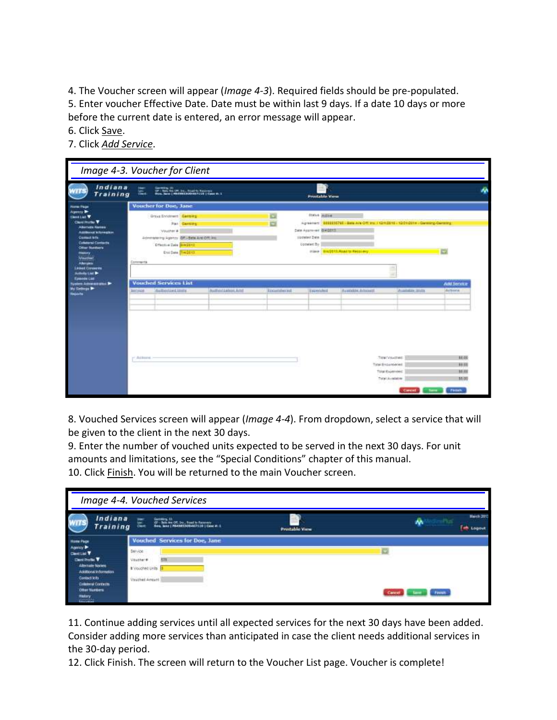4. The Voucher screen will appear (*Image 4-3*). Required fields should be pre-populated. 5. Enter voucher Effective Date. Date must be within last 9 days. If a date 10 days or more before the current date is entered, an error message will appear.

6. Click Save.

7. Click *Add Service*.

| Indiana<br>Training                                  | i.<br>嵐       | Sandora, 31<br>197 - Dels Ave (III, 24., Abad Iz America)<br>1944: Sand I, Mildell (2004) (1128-1044) (11. |                    |            |                                          |                                                                                      |               |                 |
|------------------------------------------------------|---------------|------------------------------------------------------------------------------------------------------------|--------------------|------------|------------------------------------------|--------------------------------------------------------------------------------------|---------------|-----------------|
| <b>Form Page</b>                                     |               | <b>Voucher for Doe, Jane</b>                                                                               |                    |            |                                          |                                                                                      |               |                 |
| Agency Br<br><b>Clevel List V</b>                    |               | Group Encohnect   Germany                                                                                  |                    | $\Box$     | <b>Status Autom</b>                      |                                                                                      |               |                 |
| <b>Claric Profile V</b><br><b>Adumen Nation</b>      |               | <b>Part Garmers</b>                                                                                        |                    | ë          |                                          | Agreement   2003255760 - Sels AN Off the / 12/1/2110 - 12/21/2114 - Gwimning-General |               |                 |
| <b>Additional Information</b><br><b>Current lefs</b> |               | :Voucher #                                                                                                 |                    |            | Date Accre-ent BAIG013<br>libristed Date |                                                                                      |               |                 |
| <b>Columnal Centeria</b>                             |               | Administratory Agency GRI-Bate Ant Off. Inc.<br><b>Effective Date BIASS112</b>                             |                    |            | Updated: By                              |                                                                                      |               |                 |
| <b>Clinar Numbers</b><br><b>Hallery</b>              |               | Ervi Date Trecht 17.                                                                                       |                    |            |                                          | USAnt BASTORS ROACH RACILING                                                         |               | c               |
| <b>Vaucher</b>                                       | Comments      |                                                                                                            |                    |            |                                          |                                                                                      |               |                 |
| <b>Allengies</b><br><b>Lindest Conserves</b>         |               |                                                                                                            |                    |            |                                          |                                                                                      |               |                 |
|                                                      |               |                                                                                                            |                    |            |                                          |                                                                                      |               |                 |
| Asteric List D<br><b>Establisher Last</b>            |               |                                                                                                            |                    |            |                                          |                                                                                      |               |                 |
| System Advancement (Alan Br                          |               | <b>Vouched Services List</b>                                                                               |                    |            |                                          |                                                                                      |               | Add Service     |
| <b>Williams</b>                                      | <b>SHOUL6</b> | Authorized Units                                                                                           | Authorization Aren | Recombered | Taumlubril                               | <b>BUILDER ADSIGNED</b>                                                              | 2 and in 10 m | Automa          |
|                                                      |               |                                                                                                            |                    |            |                                          |                                                                                      |               |                 |
|                                                      |               |                                                                                                            |                    |            |                                          |                                                                                      |               |                 |
|                                                      |               |                                                                                                            |                    |            |                                          |                                                                                      |               |                 |
|                                                      |               |                                                                                                            |                    |            |                                          |                                                                                      |               |                 |
|                                                      |               |                                                                                                            |                    |            |                                          |                                                                                      |               |                 |
|                                                      |               |                                                                                                            |                    |            |                                          |                                                                                      |               |                 |
|                                                      |               |                                                                                                            |                    |            |                                          |                                                                                      |               |                 |
|                                                      | r Arbert      |                                                                                                            |                    |            |                                          | Tridel Would let:                                                                    |               | 88.00           |
|                                                      |               |                                                                                                            |                    |            |                                          | Total England-test<br>Total Experiment                                               |               | 88.05<br>\$8.00 |

8. Vouched Services screen will appear (*Image 4-4*). From dropdown, select a service that will be given to the client in the next 30 days.

9. Enter the number of vouched units expected to be served in the next 30 days. For unit amounts and limitations, see the "Special Conditions" chapter of this manual. 10. Click Finish. You will be returned to the main Voucher screen.

|                                                    | Image 4-4. Vouched Services                                                                                  |                      |                                        |
|----------------------------------------------------|--------------------------------------------------------------------------------------------------------------|----------------------|----------------------------------------|
| Indiana<br>Training                                | 盂<br>Gambling, 11<br>GP - Belli Ave OT, Sec., Sund by Resource<br>Bane, Sane   PRADASSORAATS10   Case at . 1 | <b>Produble View</b> | <b>Harch 2011</b><br><b>Red Logout</b> |
| <b>Home Page</b>                                   | <b>Vouched Services for Doe, Jane</b>                                                                        |                      |                                        |
| Agency 8<br><b>Caroline</b>                        | Bervice                                                                                                      |                      |                                        |
| <b>Clarif Profile V</b>                            | Voucher#                                                                                                     |                      |                                        |
| Alternate Names<br>Additional information.         | # Vouched Units                                                                                              |                      |                                        |
| Contact lots                                       | Veschei Amtutt                                                                                               |                      |                                        |
| <b>Critistman Contacts</b><br><b>Other Numbers</b> |                                                                                                              |                      |                                        |
| <b>Findary:</b><br>ಜಯ                              |                                                                                                              |                      | <b>Finney</b><br>Careel                |

11. Continue adding services until all expected services for the next 30 days have been added. Consider adding more services than anticipated in case the client needs additional services in the 30-day period.

12. Click Finish. The screen will return to the Voucher List page. Voucher is complete!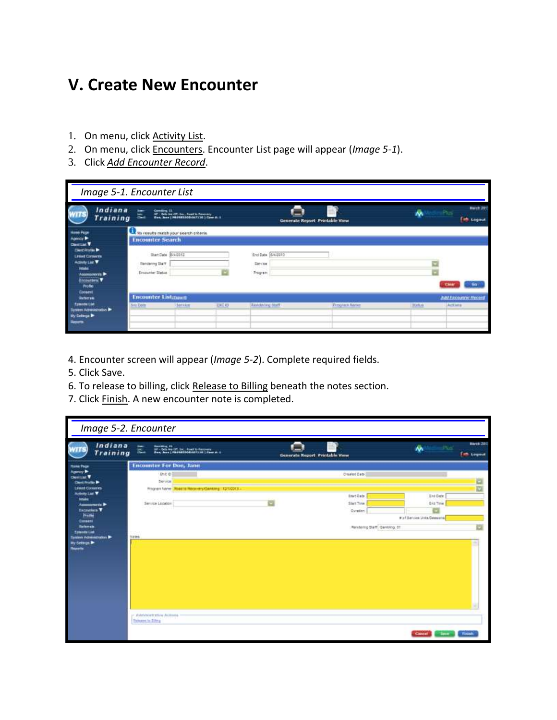## **V. Create New Encounter**

- 1. On menu, click **Activity List**.
- 2. On menu, click Encounters. Encounter List page will appear (*Image 5-1*).
- 3. Click *Add Encounter Record*.

| Image 5-1. Encounter List                                                                                                                                                                  |                                                                |                                                                                             |        |                                                |                                |                |                                                                     |
|--------------------------------------------------------------------------------------------------------------------------------------------------------------------------------------------|----------------------------------------------------------------|---------------------------------------------------------------------------------------------|--------|------------------------------------------------|--------------------------------|----------------|---------------------------------------------------------------------|
| Indiana<br>Training                                                                                                                                                                        | Gentlem II.<br><b>Share</b><br><b>Check</b>                    | (2) - Rein Ave (2)  Son : Speed to Thesenery<br>(Sun, Sans   PROSESSOD-SATTLE   Cane dt. 2) |        |                                                | Generate Report Printable View |                | <b>March 2013</b><br><b>All Property</b><br><b>Collage Logician</b> |
| <b>Hone Page</b><br>America D<br><b>Client Line T</b><br><b>Clear Rolle &amp;</b><br><b>Linked Comerzia</b><br>Activity List V<br>idades<br>Assessments P<br>Encourtes V<br><b>Profile</b> | <b>Encounter Search</b><br>Rendering Staff<br>Encounter Status | to results match your search criteria.<br>Start Date 6/40012                                |        | End Date: 6/4/2010<br>Santos<br><b>Program</b> |                                |                |                                                                     |
| Consent<br><b>Sufferrale</b><br><b>Epimologi Lind</b><br>System Administration<br><b>Wy Settings Br</b><br><b>Happing</b>                                                                  | <b>Encounter Listmans</b><br>We Dare                           | Service                                                                                     | END 10 | <b>Beddening Staff</b>                         | <b>Program flame</b>           | <b>EBENHAM</b> | <b>Add Excounting Fiscoral</b><br>Activity                          |

- 4. Encounter screen will appear (*Image 5-2*). Complete required fields.
- 5. Click Save.
- 6. To release to billing, click Release to Billing beneath the notes section.
- 7. Click Finish. A new encounter note is completed.

| Indiana<br><b>Training</b>                                                                 | Committee 22<br>GP - Dels August: Sac., Road to Personal<br>Georg Jame   PAURACOCARTILLA   Cana at. 6<br>出 | Generate Seport Printable View    | ٨λ                                            | <b>March 2013</b><br><b>Time Logister</b> |
|--------------------------------------------------------------------------------------------|------------------------------------------------------------------------------------------------------------|-----------------------------------|-----------------------------------------------|-------------------------------------------|
| <b>Hame Page</b>                                                                           | <b>Encounter For Doe, Jane</b>                                                                             |                                   |                                               |                                           |
| Cleri List T<br><b>Clevel Pro Bio</b><br><b>Linked Conservis</b><br><b>Activity List W</b> | <b>Encipi</b><br>Service<br>Program Name: Road to Receivery/Genesing: 12/1/2010.                           | Crested Date:<br><b>Road Date</b> | <b>End Date</b>                               |                                           |
| <b>Initiative</b><br>Assessments P<br><b>Excavation V</b><br>Profile<br>Consent            | Service Location                                                                                           | Start Time<br>Garation            | <b>Brid Time</b><br># of Service Unta/Seesone |                                           |
| <b>Emanufactual</b><br><b>Testen Administrator</b><br>By Sellings<br>Reports               | <b>Hirtes</b>                                                                                              | Rendering Staff: Garrising, DT    |                                               |                                           |
|                                                                                            | eremble with third violence<br><b>Behave to Silvy</b>                                                      |                                   | Cancel                                        | <b>Firish</b>                             |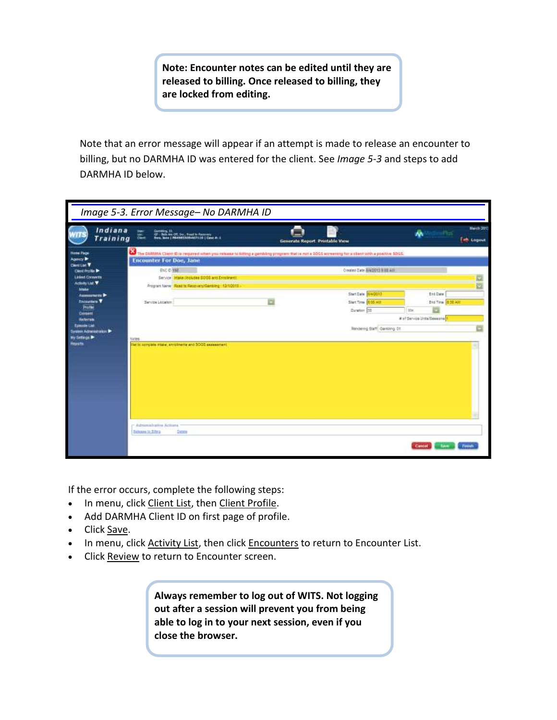**Note: Encounter notes can be edited until they are released to billing. Once released to billing, they are locked from editing.**

Note that an error message will appear if an attempt is made to release an encounter to billing, but no DARMHA ID was entered for the client. See *Image 5-3* and steps to add DARMHA ID below.

|                                                                                                                                                                                                                                                                                                                                                   | Image 5-3. Error Message- No DARMHA ID                                                                                                                                                                                                                                                                                                                                                  |                                                                                                                         |                                                                     |                                |
|---------------------------------------------------------------------------------------------------------------------------------------------------------------------------------------------------------------------------------------------------------------------------------------------------------------------------------------------------|-----------------------------------------------------------------------------------------------------------------------------------------------------------------------------------------------------------------------------------------------------------------------------------------------------------------------------------------------------------------------------------------|-------------------------------------------------------------------------------------------------------------------------|---------------------------------------------------------------------|--------------------------------|
| Indiana<br>Training                                                                                                                                                                                                                                                                                                                               | Cambing, (1)<br>22 - Salv Ave Off, Day, Baad by Rossway<br>1944, Sane   PRASASSONALTILIO   Camp Jr. 2<br>嵓                                                                                                                                                                                                                                                                              | Generate Report Printable View                                                                                          |                                                                     | <b>Harch 2013</b><br>of Logout |
| <b>Home Page</b><br>Agency P<br><b>CRISTING T</b><br><b>Clinic Pro No. 94</b><br><b>Linked Conserts</b><br>Activity List Y<br><b>brights</b><br>Assessments D<br><b>Encountain V</b><br>Profile<br>Consent<br><b><i><u>Enfortable</u></i></b><br>Esteurde List<br>System Administration B<br>$v$ Settings $\blacktriangleright$<br><b>Reports</b> | The DARWIA Clerri SI is required when you release to billing a gambling program that is not a 30GS accessing for a client with a positive SDGS.<br><b>Encounter For Doe, Jane</b><br>ENC O 198<br>Service State recluse \$00\$ and Engineers<br>Program Name Road to Recovery/Gending 12/10018<br>Sandos Locaton<br>tistes<br>list to complete intake, enrollmente and SOGS assessment. | Created Date BIAQUES BIBLAN<br>Start Date 6/4/2013<br>Start Time 1.05 Attl<br>Caraton 15<br>Rendering Blaff Cambing, O1 | End Date<br>End Time 0.30 AM<br>the<br># of Service Insta@essions E |                                |
|                                                                                                                                                                                                                                                                                                                                                   | r Administrative Actions.<br><b>Beham to Step</b><br>Detector                                                                                                                                                                                                                                                                                                                           |                                                                                                                         | Cancel                                                              | <b>Tuush</b>                   |

If the error occurs, complete the following steps:

- . In menu, click Client List, then Client Profile.
- Add DARMHA Client ID on first page of profile.
- Click Save.
- In menu, click Activity List, then click Encounters to return to Encounter List.
- Click Review to return to Encounter screen.

**Always remember to log out of WITS. Not logging out after a session will prevent you from being able to log in to your next session, even if you close the browser.**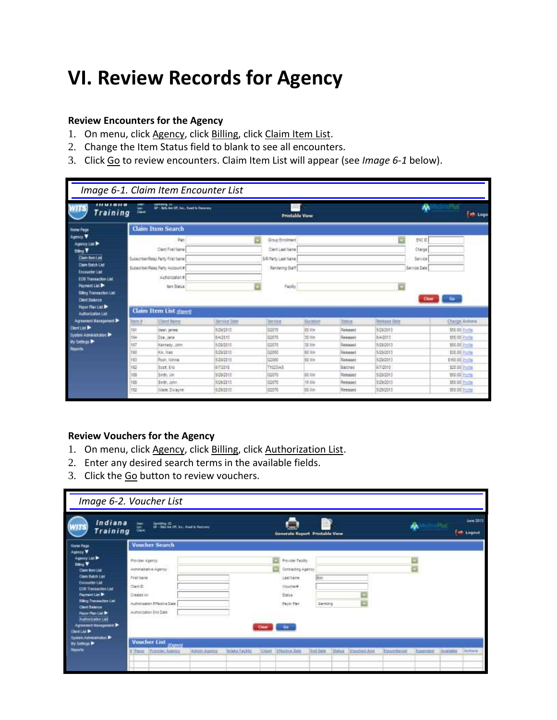# **VI. Review Records for Agency**

#### **Review Encounters for the Agency**

- 1. On menu, click Agency, click Billing, click Claim Item List.
- 2. Change the Item Status field to blank to see all encounters.
- 3. Click Go to review encounters. Claim Item List will appear (see *Image 6-1* below).

|                                                                                                                                                                                                                                                                                       |          | Image 6-1. Claim Item Encounter List                                                                                                                            |                     |                                                                                        |                 |                 |                     |                                                     |                           |
|---------------------------------------------------------------------------------------------------------------------------------------------------------------------------------------------------------------------------------------------------------------------------------------|----------|-----------------------------------------------------------------------------------------------------------------------------------------------------------------|---------------------|----------------------------------------------------------------------------------------|-----------------|-----------------|---------------------|-----------------------------------------------------|---------------------------|
| 111 U 1 a 11 a<br>Training                                                                                                                                                                                                                                                            | े ह<br>嵐 | Gambley, 11<br>UP - Bela Ave (27, Joe, Tool to Fasseny)                                                                                                         |                     | <b>Printable View</b>                                                                  |                 |                 |                     | w                                                   | சிம<br>$\Rightarrow$ Logo |
| <b>fore Page</b>                                                                                                                                                                                                                                                                      |          | <b>Claim Item Search</b>                                                                                                                                        |                     |                                                                                        |                 |                 |                     |                                                     |                           |
| Agency V<br>Agency List &<br><b>Ding Y</b><br><b>Claim familiet</b><br><b>Claim Batch List</b><br>Encounter List<br><b>EOR Transaction List</b><br><b><i>Payment List</i></b><br><b>Billing Transaction List</b><br><b>Cleve Balance</b><br>Payer Play List Dr.<br>Authorization List |          | Pan<br>Clarif First Name<br>SubscriberReso Party First Name<br>Subscriber/Resc Party Account #<br>Authorization #<br><b>Nam Statue</b><br>Claim Item List group |                     | Group Enrolment<br>Cleri Last Name<br>S/R Party Last Name<br>Rendering Staff<br>Facily |                 |                 | u                   | ENG O<br>Charge<br>Sanice<br>Senice Date:<br>Clear: | Go.                       |
| <b>Agreement Vanagement Dr.</b>                                                                                                                                                                                                                                                       | ttem #   | <b>Client Mame</b>                                                                                                                                              | <b>Service Date</b> | <b>Service</b>                                                                         | <b>Turation</b> | <b>Status</b>   | <b>Release Date</b> |                                                     | Charge Actions            |
| <b>Cleri List &amp;</b>                                                                                                                                                                                                                                                               | 191      | deart. james                                                                                                                                                    | 1/29/2013           | GODTO                                                                                  | eg in-          | Seleaned        | 6/29/2013           |                                                     | \$50.00 Profile           |
| <b>System Administrator Dr.</b><br>Wy Settings                                                                                                                                                                                                                                        | 194      | Dee, Jane                                                                                                                                                       | 842113              | G20TD                                                                                  | 32 Uin          | <b>Deleased</b> | 64/2013             |                                                     | 550.00 Ptnfm              |
| Reports                                                                                                                                                                                                                                                                               | 187      | Kennedy, John                                                                                                                                                   | 5/20/2013           | GOOTO                                                                                  | 32 Min          | Released        | 5/29/2013           |                                                     | 150.00 Profits            |
|                                                                                                                                                                                                                                                                                       | 190      | Kir. Wes                                                                                                                                                        | 5/29/2013           | 02055                                                                                  | 80 Min          | Remased         | 5/29/2013           |                                                     | E30.00 Frame              |
|                                                                                                                                                                                                                                                                                       | 193      | Roch Wilmar                                                                                                                                                     | 529/2813            | 02060                                                                                  | 91 Vin          | Renased         | 5/29/2019           |                                                     | \$160.00 Prailing         |
|                                                                                                                                                                                                                                                                                       | 162      | Sout: Eric                                                                                                                                                      | 6/7/2019            | 710250-3                                                                               |                 | Eatched         | 6/7/2010            |                                                     | \$20.00 Printing          |
|                                                                                                                                                                                                                                                                                       | 189      | Sinth, Jim                                                                                                                                                      | 509/2013            | 02070                                                                                  | ist tie         | Remased         | 5/39/2013           |                                                     | \$50.00 Profile           |
|                                                                                                                                                                                                                                                                                       | 188      | Sean, John                                                                                                                                                      | 5/29/2011           | 02070                                                                                  | 15.5lit         | Released        | 5/29/2013           |                                                     | E50 00 Prafer             |
|                                                                                                                                                                                                                                                                                       | 192      | Wade, Disayne                                                                                                                                                   | 5/29/2013           | 02070                                                                                  | 31 Um           | Finlessed       | 5/29/2013           |                                                     | 160.00% Prairie           |

### **Review Vouchers for the Agency**

- 1. On menu, click Agency, click Billing, click Authorization List.
- 2. Enter any desired search terms in the available fields.
- 3. Click the Go button to review vouchers.

| Image 6-2. Voucher List                                                                                                                                                                                                                                                                                                                                                                                        |                                                                                                                                                                                              |  |  |        |                                                                                                       |                |  |              |            |           |         |                               |
|----------------------------------------------------------------------------------------------------------------------------------------------------------------------------------------------------------------------------------------------------------------------------------------------------------------------------------------------------------------------------------------------------------------|----------------------------------------------------------------------------------------------------------------------------------------------------------------------------------------------|--|--|--------|-------------------------------------------------------------------------------------------------------|----------------|--|--------------|------------|-----------|---------|-------------------------------|
| Indiana<br><b>Training</b>                                                                                                                                                                                                                                                                                                                                                                                     | Gentley, 22<br>Or - Mo Ave Off, Inc. Ased to Retrieve<br>$\equiv$<br><b>Dart</b>                                                                                                             |  |  |        | Generate Report Printable View                                                                        |                |  |              |            | ᄴ         | Ball.   | Jane 2013<br><b>E</b> Logisat |
| Home Page                                                                                                                                                                                                                                                                                                                                                                                                      | <b>Voucher Search</b>                                                                                                                                                                        |  |  |        |                                                                                                       |                |  |              |            |           |         |                               |
| Acesse V<br>Agency Ltd P<br><b>Strip V</b><br>Claim Bern List<br><b>Claim Batch Lieb</b><br>Encounter Lat<br><b>EOR Transaction List</b><br><b>Payment List Dr.</b><br><b>Siling Transaction List</b><br><b>Client Bankrow</b><br><b>Payer Plan List Dr</b><br>Authorization List<br>Agreement Management P<br>$D = 110$<br><b><i><u>System Administration</u></i></b><br><b>My Settings &amp;</b><br>Hepioris | Provider Agency:<br>Administrative Agency<br>First Liame<br>Clark D<br>Cinates on<br>Authorization Effective Date<br>Authorization Exa Date                                                  |  |  | Ciesar | President acity<br>Contracting Agency<br>Last Name<br>Voucher#<br>Status:<br><b>Fayer Part</b><br>Gar | Bob<br>Gambing |  |              |            |           |         |                               |
|                                                                                                                                                                                                                                                                                                                                                                                                                | <b>Voucher List</b> <sub>(Export)</sub><br>Panter Provident Agency<br><b>Effective Date</b><br><b>End Date</b><br>Vourheit And<br>Status<br>Artmirt Agency<br>Infake Fachity<br><b>Clerk</b> |  |  |        |                                                                                                       |                |  | Eiscunibered | Expendited | Available | Actions |                               |
|                                                                                                                                                                                                                                                                                                                                                                                                                |                                                                                                                                                                                              |  |  |        |                                                                                                       |                |  |              |            |           |         |                               |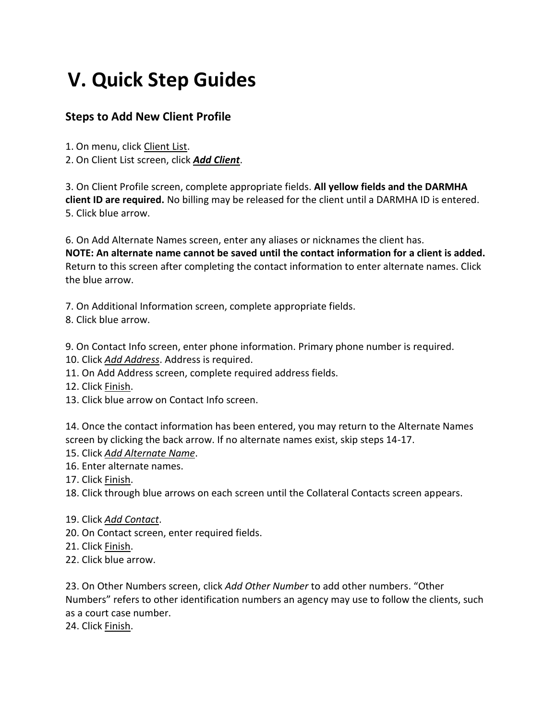# **V. Quick Step Guides**

### **Steps to Add New Client Profile**

1. On menu, click Client List.

2. On Client List screen, click *Add Client*.

3. On Client Profile screen, complete appropriate fields. **All yellow fields and the DARMHA client ID are required.** No billing may be released for the client until a DARMHA ID is entered. 5. Click blue arrow.

6. On Add Alternate Names screen, enter any aliases or nicknames the client has.

**NOTE: An alternate name cannot be saved until the contact information for a client is added.**  Return to this screen after completing the contact information to enter alternate names. Click the blue arrow.

7. On Additional Information screen, complete appropriate fields.

8. Click blue arrow.

9. On Contact Info screen, enter phone information. Primary phone number is required.

- 10. Click *Add Address*. Address is required.
- 11. On Add Address screen, complete required address fields.
- 12. Click Finish.
- 13. Click blue arrow on Contact Info screen.

14. Once the contact information has been entered, you may return to the Alternate Names screen by clicking the back arrow. If no alternate names exist, skip steps 14-17.

- 15. Click *Add Alternate Name*.
- 16. Enter alternate names.
- 17. Click Finish.

18. Click through blue arrows on each screen until the Collateral Contacts screen appears.

- 19. Click *Add Contact*.
- 20. On Contact screen, enter required fields.
- 21. Click Finish.
- 22. Click blue arrow.

23. On Other Numbers screen, click *Add Other Number* to add other numbers. "Other Numbers" refers to other identification numbers an agency may use to follow the clients, such as a court case number.

24. Click Finish.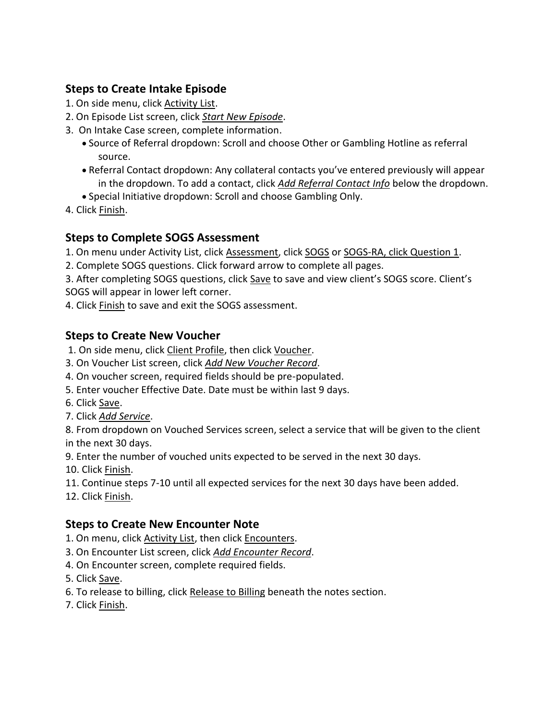### **Steps to Create Intake Episode**

- 1. On side menu, click Activity List.
- 2. On Episode List screen, click *Start New Episode*.
- 3. On Intake Case screen, complete information.
	- Source of Referral dropdown: Scroll and choose Other or Gambling Hotline as referral source.
	- Referral Contact dropdown: Any collateral contacts you've entered previously will appear in the dropdown. To add a contact, click *Add Referral Contact Info* below the dropdown.
	- Special Initiative dropdown: Scroll and choose Gambling Only.
- 4. Click **Finish**.

### **Steps to Complete SOGS Assessment**

1. On menu under Activity List, click Assessment, click SOGS or SOGS-RA, click Question 1.

2. Complete SOGS questions. Click forward arrow to complete all pages.

3. After completing SOGS questions, click Save to save and view client's SOGS score. Client's SOGS will appear in lower left corner.

4. Click Finish to save and exit the SOGS assessment.

## **Steps to Create New Voucher**

1. On side menu, click Client Profile, then click Voucher.

- 3. On Voucher List screen, click *Add New Voucher Record*.
- 4. On voucher screen, required fields should be pre-populated.
- 5. Enter voucher Effective Date. Date must be within last 9 days.
- 6. Click Save.
- 7. Click *Add Service*.

8. From dropdown on Vouched Services screen, select a service that will be given to the client in the next 30 days.

9. Enter the number of vouched units expected to be served in the next 30 days.

10. Click Finish.

- 11. Continue steps 7-10 until all expected services for the next 30 days have been added.
- 12. Click Finish.

## **Steps to Create New Encounter Note**

- 1. On menu, click **Activity List**, then click **Encounters**.
- 3. On Encounter List screen, click *Add Encounter Record*.
- 4. On Encounter screen, complete required fields.
- 5. Click Save.
- 6. To release to billing, click Release to Billing beneath the notes section.
- 7. Click Finish.